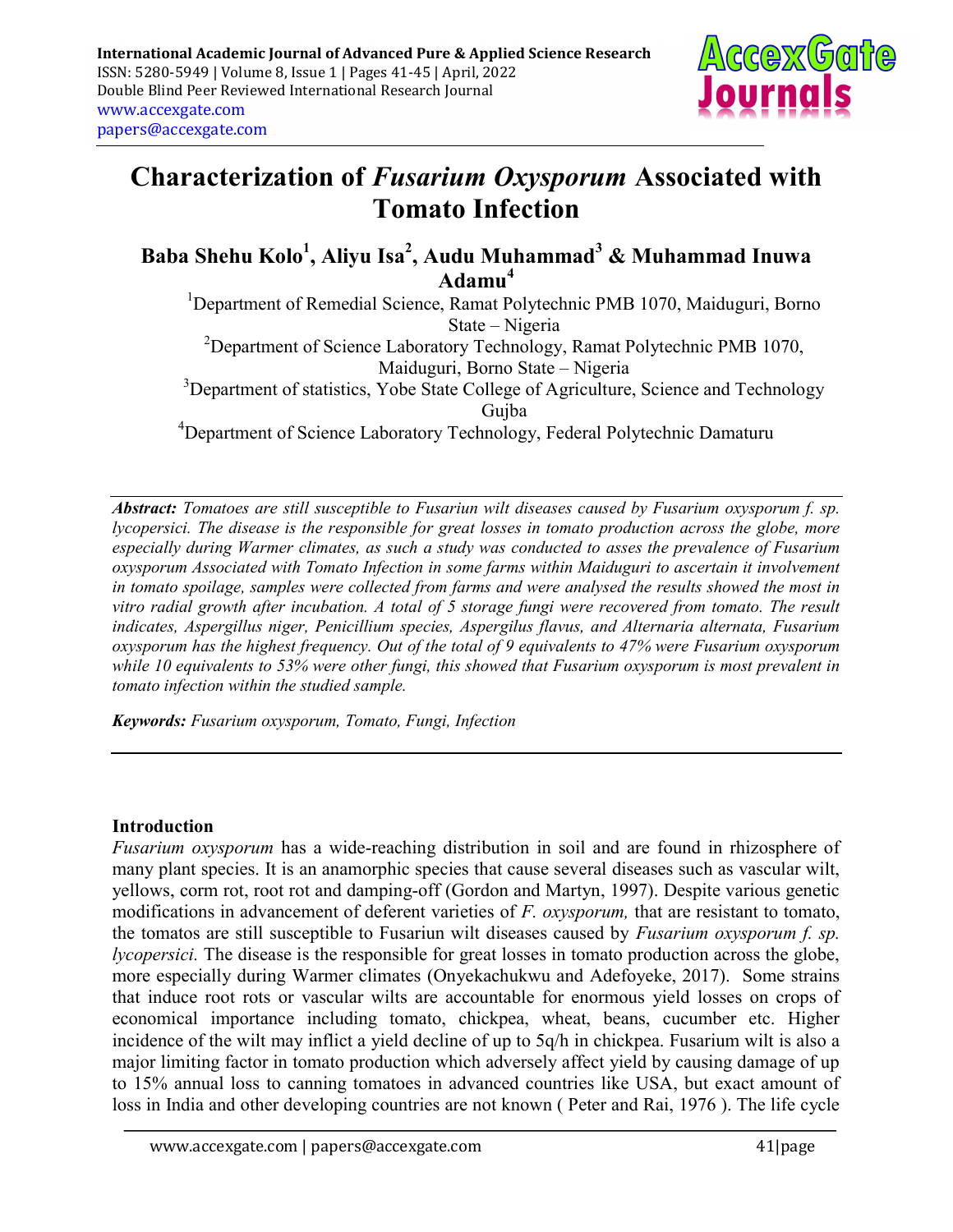

# Characterization of Fusarium Oxysporum Associated with Tomato Infection

Baba Shehu Kolo<sup>1</sup>, Aliyu Isa<sup>2</sup>, Audu Muhammad $^3$  & Muhammad Inuwa Adamu<sup>4</sup>

<sup>1</sup>Department of Remedial Science, Ramat Polytechnic PMB 1070, Maiduguri, Borno State – Nigeria <sup>2</sup>Department of Science Laboratory Technology, Ramat Polytechnic PMB 1070, Maiduguri, Borno State – Nigeria <sup>3</sup>Department of statistics, Yobe State College of Agriculture, Science and Technology Gujba

<sup>4</sup>Department of Science Laboratory Technology, Federal Polytechnic Damaturu

Abstract: Tomatoes are still susceptible to Fusariun wilt diseases caused by Fusarium oxysporum f. sp. lycopersici. The disease is the responsible for great losses in tomato production across the globe, more especially during Warmer climates, as such a study was conducted to asses the prevalence of Fusarium oxysporum Associated with Tomato Infection in some farms within Maiduguri to ascertain it involvement in tomato spoilage, samples were collected from farms and were analysed the results showed the most in vitro radial growth after incubation. A total of 5 storage fungi were recovered from tomato. The result indicates, Aspergillus niger, Penicillium species, Aspergilus flavus, and Alternaria alternata, Fusarium oxysporum has the highest frequency. Out of the total of 9 equivalents to 47% were Fusarium oxysporum while 10 equivalents to 53% were other fungi, this showed that Fusarium oxysporum is most prevalent in tomato infection within the studied sample.

Keywords: Fusarium oxysporum, Tomato, Fungi, Infection

#### Introduction

Fusarium oxysporum has a wide-reaching distribution in soil and are found in rhizosphere of many plant species. It is an anamorphic species that cause several diseases such as vascular wilt, yellows, corm rot, root rot and damping-off (Gordon and Martyn, 1997). Despite various genetic modifications in advancement of deferent varieties of  $F$ . oxysporum, that are resistant to tomato, the tomatos are still susceptible to Fusariun wilt diseases caused by Fusarium oxysporum f. sp. lycopersici. The disease is the responsible for great losses in tomato production across the globe, more especially during Warmer climates (Onyekachukwu and Adefoyeke, 2017). Some strains that induce root rots or vascular wilts are accountable for enormous yield losses on crops of economical importance including tomato, chickpea, wheat, beans, cucumber etc. Higher incidence of the wilt may inflict a yield decline of up to 5q/h in chickpea. Fusarium wilt is also a major limiting factor in tomato production which adversely affect yield by causing damage of up to 15% annual loss to canning tomatoes in advanced countries like USA, but exact amount of loss in India and other developing countries are not known ( Peter and Rai, 1976 ). The life cycle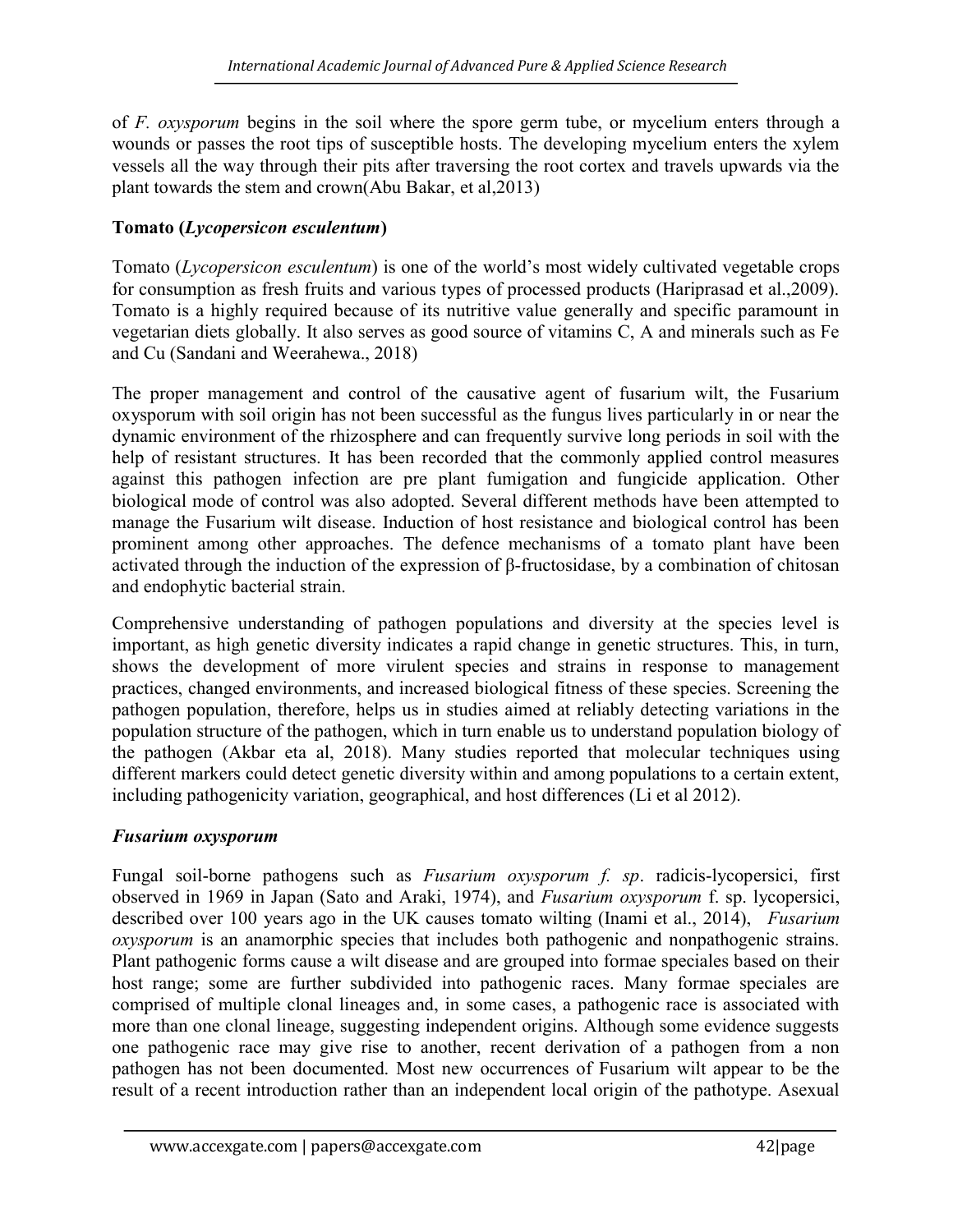of F. oxysporum begins in the soil where the spore germ tube, or mycelium enters through a wounds or passes the root tips of susceptible hosts. The developing mycelium enters the xylem vessels all the way through their pits after traversing the root cortex and travels upwards via the plant towards the stem and crown(Abu Bakar, et al,2013)

# Tomato (Lycopersicon esculentum)

Tomato (Lycopersicon esculentum) is one of the world's most widely cultivated vegetable crops for consumption as fresh fruits and various types of processed products (Hariprasad et al.,2009). Tomato is a highly required because of its nutritive value generally and specific paramount in vegetarian diets globally. It also serves as good source of vitamins C, A and minerals such as Fe and Cu (Sandani and Weerahewa., 2018)

The proper management and control of the causative agent of fusarium wilt, the Fusarium oxysporum with soil origin has not been successful as the fungus lives particularly in or near the dynamic environment of the rhizosphere and can frequently survive long periods in soil with the help of resistant structures. It has been recorded that the commonly applied control measures against this pathogen infection are pre plant fumigation and fungicide application. Other biological mode of control was also adopted. Several different methods have been attempted to manage the Fusarium wilt disease. Induction of host resistance and biological control has been prominent among other approaches. The defence mechanisms of a tomato plant have been activated through the induction of the expression of β-fructosidase, by a combination of chitosan and endophytic bacterial strain.

Comprehensive understanding of pathogen populations and diversity at the species level is important, as high genetic diversity indicates a rapid change in genetic structures. This, in turn, shows the development of more virulent species and strains in response to management practices, changed environments, and increased biological fitness of these species. Screening the pathogen population, therefore, helps us in studies aimed at reliably detecting variations in the population structure of the pathogen, which in turn enable us to understand population biology of the pathogen (Akbar eta al, 2018). Many studies reported that molecular techniques using different markers could detect genetic diversity within and among populations to a certain extent, including pathogenicity variation, geographical, and host differences (Li et al 2012).

# Fusarium oxysporum

Fungal soil-borne pathogens such as Fusarium oxysporum f. sp. radicis-lycopersici, first observed in 1969 in Japan (Sato and Araki, 1974), and Fusarium oxysporum f. sp. lycopersici, described over 100 years ago in the UK causes tomato wilting (Inami et al., 2014), *Fusarium* oxysporum is an anamorphic species that includes both pathogenic and nonpathogenic strains. Plant pathogenic forms cause a wilt disease and are grouped into formae speciales based on their host range; some are further subdivided into pathogenic races. Many formae speciales are comprised of multiple clonal lineages and, in some cases, a pathogenic race is associated with more than one clonal lineage, suggesting independent origins. Although some evidence suggests one pathogenic race may give rise to another, recent derivation of a pathogen from a non pathogen has not been documented. Most new occurrences of Fusarium wilt appear to be the result of a recent introduction rather than an independent local origin of the pathotype. Asexual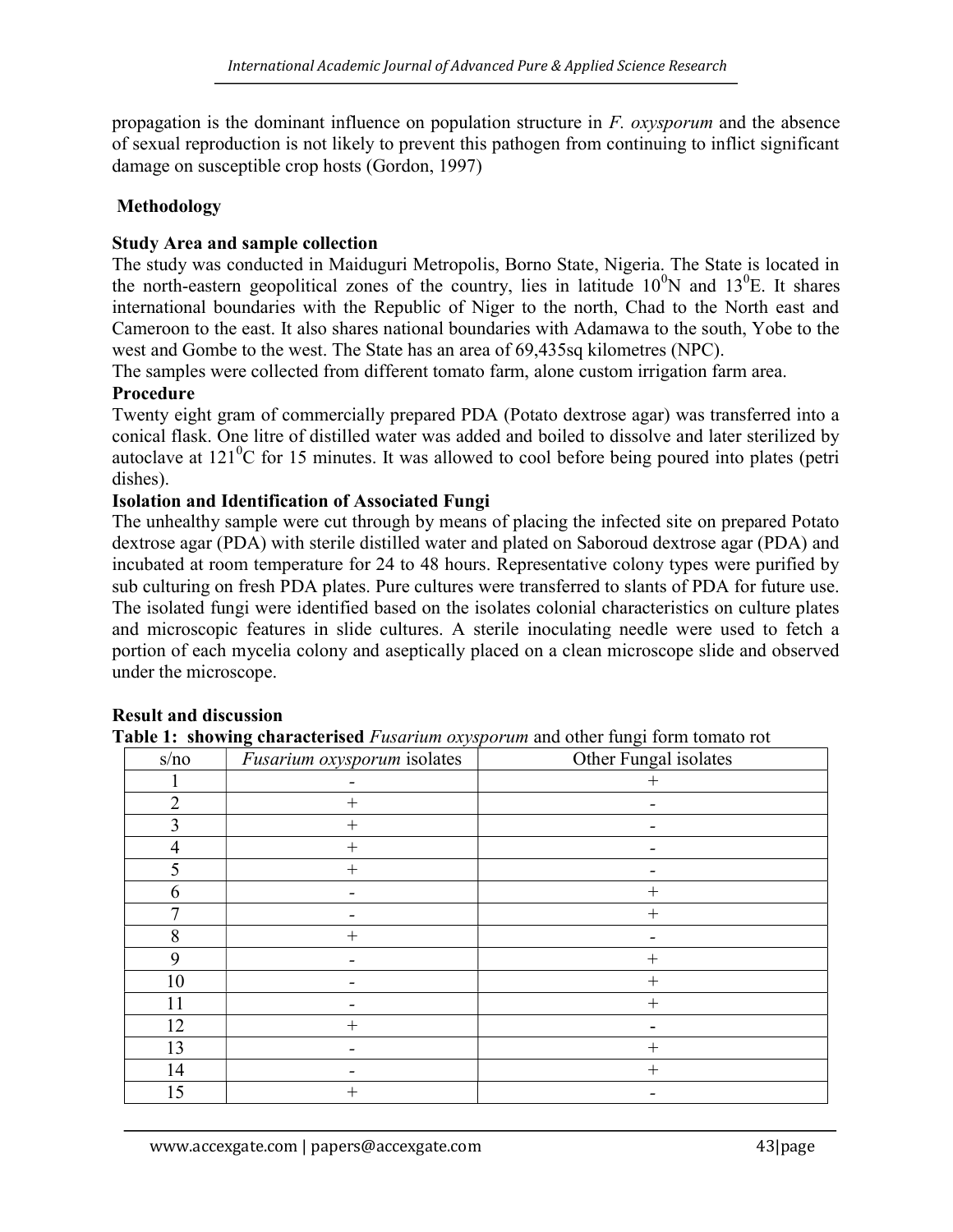propagation is the dominant influence on population structure in  $F$ . *oxysporum* and the absence of sexual reproduction is not likely to prevent this pathogen from continuing to inflict significant damage on susceptible crop hosts (Gordon, 1997)

### Methodology

#### Study Area and sample collection

The study was conducted in Maiduguri Metropolis, Borno State, Nigeria. The State is located in the north-eastern geopolitical zones of the country, lies in latitude  $10^0$ N and  $13^0$ E. It shares international boundaries with the Republic of Niger to the north, Chad to the North east and Cameroon to the east. It also shares national boundaries with Adamawa to the south, Yobe to the west and Gombe to the west. The State has an area of 69,435sq kilometres (NPC).

The samples were collected from different tomato farm, alone custom irrigation farm area.

#### Procedure

Twenty eight gram of commercially prepared PDA (Potato dextrose agar) was transferred into a conical flask. One litre of distilled water was added and boiled to dissolve and later sterilized by autoclave at  $121^0C$  for 15 minutes. It was allowed to cool before being poured into plates (petri dishes).

#### Isolation and Identification of Associated Fungi

The unhealthy sample were cut through by means of placing the infected site on prepared Potato dextrose agar (PDA) with sterile distilled water and plated on Saboroud dextrose agar (PDA) and incubated at room temperature for 24 to 48 hours. Representative colony types were purified by sub culturing on fresh PDA plates. Pure cultures were transferred to slants of PDA for future use. The isolated fungi were identified based on the isolates colonial characteristics on culture plates and microscopic features in slide cultures. A sterile inoculating needle were used to fetch a portion of each mycelia colony and aseptically placed on a clean microscope slide and observed under the microscope.

| s/no | Fusarium oxysporum isolates | Other Fungal isolates |
|------|-----------------------------|-----------------------|
|      |                             |                       |
|      | $^{+}$                      |                       |
|      | $^+$                        |                       |
| 4    | $^{+}$                      |                       |
| 5    | $\pm$                       |                       |
| h    |                             | $^{+}$                |
|      |                             | $^{+}$                |
| 8    | $^+$                        |                       |
| 9    |                             |                       |
| 10   |                             | $^{+}$                |
| 11   |                             |                       |
| 12   | $\hspace{0.1mm} +$          |                       |
| 13   |                             | $^+$                  |
| 14   |                             | $^{+}$                |
| 15   | $^+$                        |                       |

## Result and discussion

Table 1: showing characterised *Fusarium oxysporum* and other fungi form tomato rot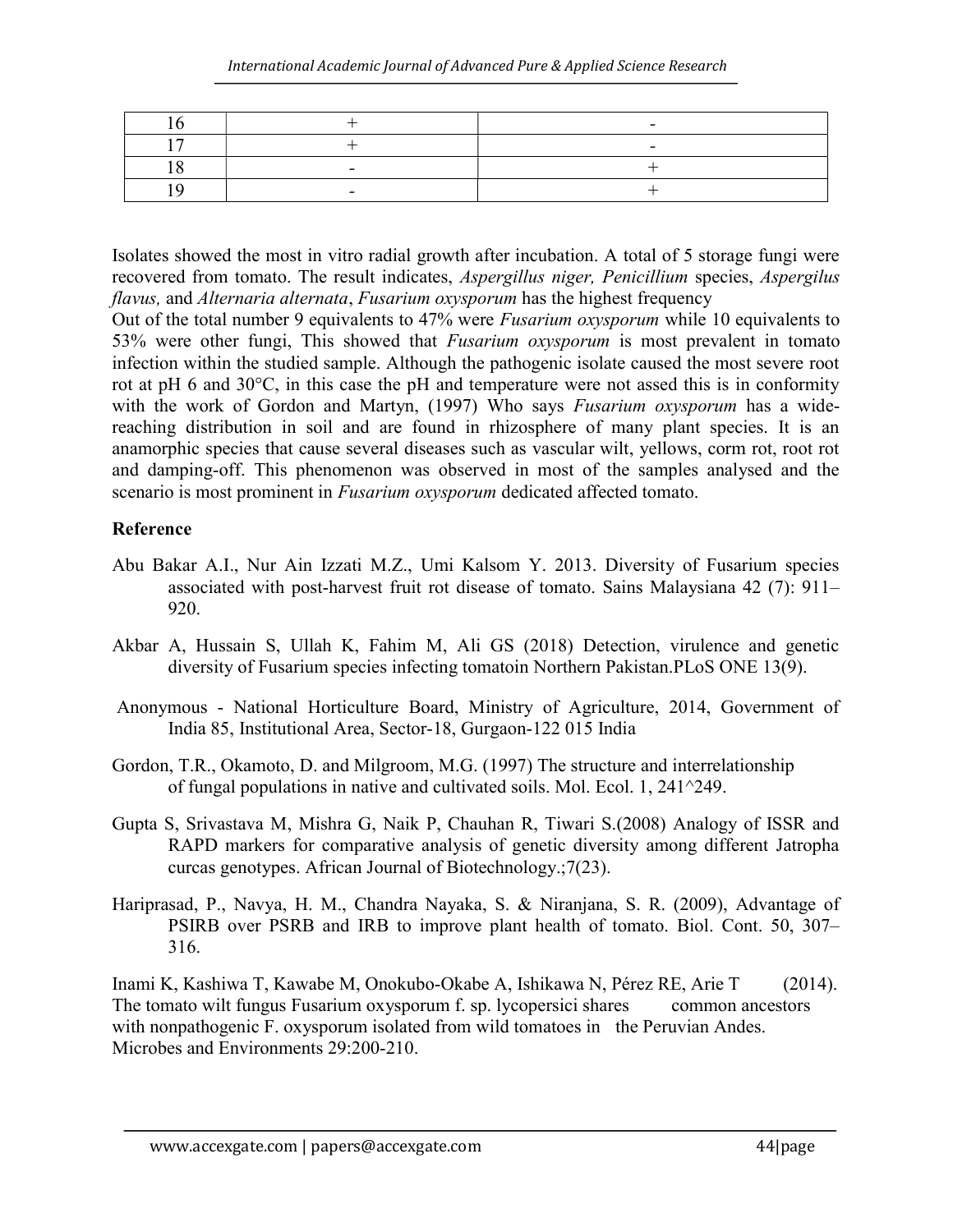| - |  |
|---|--|
|   |  |

Isolates showed the most in vitro radial growth after incubation. A total of 5 storage fungi were recovered from tomato. The result indicates, Aspergillus niger, Penicillium species, Aspergilus flavus, and Alternaria alternata, Fusarium oxysporum has the highest frequency

Out of the total number 9 equivalents to 47% were Fusarium oxysporum while 10 equivalents to 53% were other fungi, This showed that Fusarium oxysporum is most prevalent in tomato infection within the studied sample. Although the pathogenic isolate caused the most severe root rot at pH 6 and 30°C, in this case the pH and temperature were not assed this is in conformity with the work of Gordon and Martyn, (1997) Who says Fusarium oxysporum has a widereaching distribution in soil and are found in rhizosphere of many plant species. It is an anamorphic species that cause several diseases such as vascular wilt, yellows, corm rot, root rot and damping-off. This phenomenon was observed in most of the samples analysed and the scenario is most prominent in Fusarium oxysporum dedicated affected tomato.

#### Reference

- Abu Bakar A.I., Nur Ain Izzati M.Z., Umi Kalsom Y. 2013. Diversity of Fusarium species associated with post-harvest fruit rot disease of tomato. Sains Malaysiana 42 (7): 911– 920.
- Akbar A, Hussain S, Ullah K, Fahim M, Ali GS (2018) Detection, virulence and genetic diversity of Fusarium species infecting tomatoin Northern Pakistan.PLoS ONE 13(9).
- Anonymous National Horticulture Board, Ministry of Agriculture, 2014, Government of India 85, Institutional Area, Sector-18, Gurgaon-122 015 India
- Gordon, T.R., Okamoto, D. and Milgroom, M.G. (1997) The structure and interrelationship of fungal populations in native and cultivated soils. Mol. Ecol. 1, 241^249.
- Gupta S, Srivastava M, Mishra G, Naik P, Chauhan R, Tiwari S.(2008) Analogy of ISSR and RAPD markers for comparative analysis of genetic diversity among different Jatropha curcas genotypes. African Journal of Biotechnology.;7(23).
- Hariprasad, P., Navya, H. M., Chandra Nayaka, S. & Niranjana, S. R. (2009), Advantage of PSIRB over PSRB and IRB to improve plant health of tomato. Biol. Cont. 50, 307– 316.

Inami K, Kashiwa T, Kawabe M, Onokubo-Okabe A, Ishikawa N, Pérez RE, Arie T (2014). The tomato wilt fungus Fusarium oxysporum f. sp. lycopersici shares common ancestors with nonpathogenic F. oxysporum isolated from wild tomatoes in the Peruvian Andes. Microbes and Environments 29:200-210.